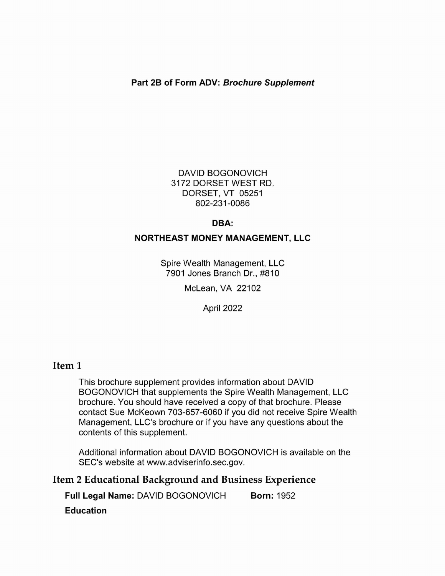## Part 2B of Form ADV: Brochure Supplement

DAVID BOGONOVICH 3172 DORSET WEST RD. DORSET, VT 05251 802-231-0086

#### DBA:

## NORTHEAST MONEY MANAGEMENT, LLC

Spire Wealth Management, LLC 7901 Jones Branch Dr., #810

McLean, VA 22102

April 2022

## Item 1

This brochure supplement provides information about DAVID BOGONOVICH that supplements the Spire Wealth Management, LLC brochure. You should have received a copy of that brochure. Please contact Sue McKeown 703-657-6060 if you did not receive Spire Wealth Management, LLC's brochure or if you have any questions about the contents of this supplement.

Additional information about DAVID BOGONOVICH is available on the SEC's website at www.adviserinfo.sec.gov.

# Item 2 Educational Background and Business Experience

Full Legal Name: DAVID BOGONOVICH Born: 1952

Education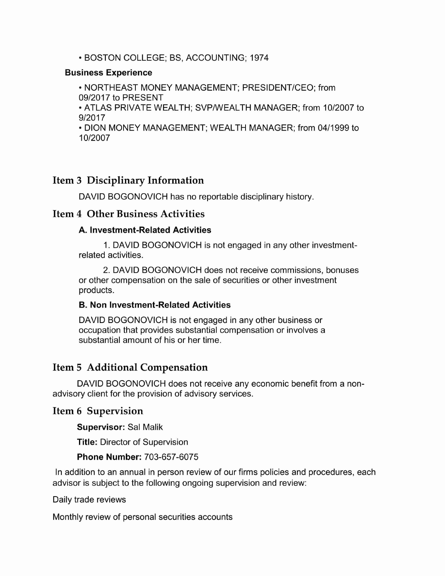## BOSTON COLLEGE; BS, ACCOUNTING; 1974

#### Business Experience

NORTHEAST MONEY MANAGEMENT; PRESIDENT/CEO; from 09/2017 to PRESENT

ATLAS PRIVATE WEALTH; SVP/WEALTH MANAGER; from 10/2007 to 9/2017

DION MONEY MANAGEMENT; WEALTH MANAGER; from 04/1999 to 10/2007

# Item 3 Disciplinary Information

DAVID BOGONOVICH has no reportable disciplinary history.

## Item 4 Other Business Activities

## A. Investment-Related Activities

1. DAVID BOGONOVICH is not engaged in any other investmentrelated activities.

2. DAVID BOGONOVICH does not receive commissions, bonuses or other compensation on the sale of securities or other investment products.

## B. Non Investment-Related Activities

DAVID BOGONOVICH is not engaged in any other business or occupation that provides substantial compensation or involves a substantial amount of his or her time.

# Item 5 Additional Compensation

DAVID BOGONOVICH does not receive any economic benefit from a nonadvisory client for the provision of advisory services.

## Item 6 Supervision

Supervisor: Sal Malik

Title: Director of Supervision

## Phone Number: 703-657-6075

In addition to an annual in person review of our firms policies and procedures, each advisor is subject to the following ongoing supervision and review:

Daily trade reviews

Monthly review of personal securities accounts